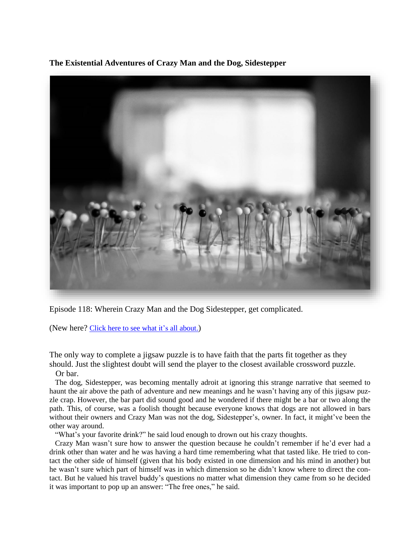**The Existential Adventures of Crazy Man and the Dog, Sidestepper**



Episode 118: Wherein Crazy Man and the Dog Sidestepper, get complicated.

(New here? Click here to see what it's all [about.](https://biffmitchell.com/crazy-man))

The only way to complete a jigsaw puzzle is to have faith that the parts fit together as they should. Just the slightest doubt will send the player to the closest available crossword puzzle.

Or bar.

 The dog, Sidestepper, was becoming mentally adroit at ignoring this strange narrative that seemed to haunt the air above the path of adventure and new meanings and he wasn't having any of this jigsaw puzzle crap. However, the bar part did sound good and he wondered if there might be a bar or two along the path. This, of course, was a foolish thought because everyone knows that dogs are not allowed in bars without their owners and Crazy Man was not the dog, Sidestepper's, owner. In fact, it might've been the other way around.

"What's your favorite drink?" he said loud enough to drown out his crazy thoughts.

 Crazy Man wasn't sure how to answer the question because he couldn't remember if he'd ever had a drink other than water and he was having a hard time remembering what that tasted like. He tried to contact the other side of himself (given that his body existed in one dimension and his mind in another) but he wasn't sure which part of himself was in which dimension so he didn't know where to direct the contact. But he valued his travel buddy's questions no matter what dimension they came from so he decided it was important to pop up an answer: "The free ones," he said.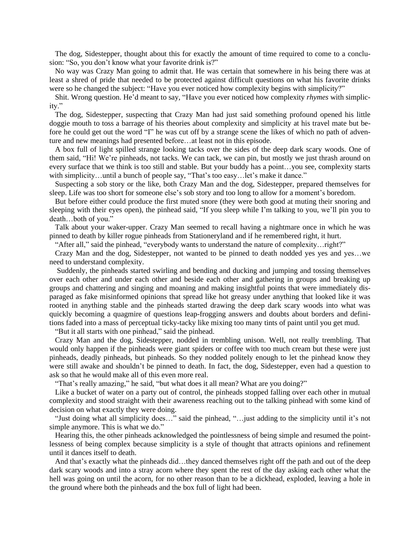The dog, Sidestepper, thought about this for exactly the amount of time required to come to a conclusion: "So, you don't know what your favorite drink is?"

 No way was Crazy Man going to admit that. He was certain that somewhere in his being there was at least a shred of pride that needed to be protected against difficult questions on what his favorite drinks were so he changed the subject: "Have you ever noticed how complexity begins with simplicity?"

 Shit. Wrong question. He'd meant to say, "Have you ever noticed how complexity *rhymes* with simplicity."

 The dog, Sidestepper, suspecting that Crazy Man had just said something profound opened his little doggie mouth to toss a barrage of his theories about complexity and simplicity at his travel mate but before he could get out the word "I" he was cut off by a strange scene the likes of which no path of adventure and new meanings had presented before…at least not in this episode.

 A box full of light spilled strange looking tacks over the sides of the deep dark scary woods. One of them said, "Hi! We're pinheads, not tacks. We can tack, we can pin, but mostly we just thrash around on every surface that we think is too still and stable. But your buddy has a point…you see, complexity starts with simplicity…until a bunch of people say, "That's too easy... let's make it dance."

 Suspecting a sob story or the like, both Crazy Man and the dog, Sidestepper, prepared themselves for sleep. Life was too short for someone else's sob story and too long to allow for a moment's boredom.

 But before either could produce the first muted snore (they were both good at muting their snoring and sleeping with their eyes open), the pinhead said, "If you sleep while I'm talking to you, we'll pin you to death…both of you."

 Talk about your waker-upper. Crazy Man seemed to recall having a nightmare once in which he was pinned to death by killer rogue pinheads from Stationeryland and if he remembered right, it hurt.

"After all," said the pinhead, "everybody wants to understand the nature of complexity…right?"

 Crazy Man and the dog, Sidestepper, not wanted to be pinned to death nodded yes yes and yes…we need to understand complexity.

 Suddenly, the pinheads started swirling and bending and ducking and jumping and tossing themselves over each other and under each other and beside each other and gathering in groups and breaking up groups and chattering and singing and moaning and making insightful points that were immediately disparaged as fake misinformed opinions that spread like hot greasy under anything that looked like it was rooted in anything stable and the pinheads started drawing the deep dark scary woods into what was quickly becoming a quagmire of questions leap-frogging answers and doubts about borders and definitions faded into a mass of perceptual ticky-tacky like mixing too many tints of paint until you get mud.

"But it all starts with one pinhead," said the pinhead.

 Crazy Man and the dog, Sidestepper, nodded in trembling unison. Well, not really trembling. That would only happen if the pinheads were giant spiders or coffee with too much cream but these were just pinheads, deadly pinheads, but pinheads. So they nodded politely enough to let the pinhead know they were still awake and shouldn't be pinned to death. In fact, the dog, Sidestepper, even had a question to ask so that he would make all of this even more real.

"That's really amazing," he said, "but what does it all mean? What are you doing?"

 Like a bucket of water on a party out of control, the pinheads stopped falling over each other in mutual complexity and stood straight with their awareness reaching out to the talking pinhead with some kind of decision on what exactly they were doing.

 "Just doing what all simplicity does…" said the pinhead, "…just adding to the simplicity until it's not simple anymore. This is what we do."

 Hearing this, the other pinheads acknowledged the pointlessness of being simple and resumed the pointlessness of being complex because simplicity is a style of thought that attracts opinions and refinement until it dances itself to death.

And that's exactly what the pinheads did…they danced themselves right off the path and out of the deep dark scary woods and into a stray acorn where they spent the rest of the day asking each other what the hell was going on until the acorn, for no other reason than to be a dickhead, exploded, leaving a hole in the ground where both the pinheads and the box full of light had been.